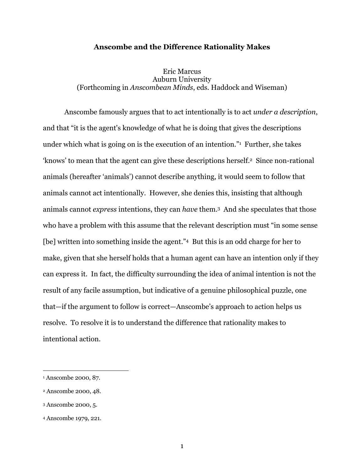# **Anscombe and the Difference Rationality Makes**

Eric Marcus Auburn University (Forthcoming in *Anscombean Minds*, eds. Haddock and Wiseman)

Anscombe famously argues that to act intentionally is to act *under a description*, and that "it is the agent's knowledge of what he is doing that gives the descriptions under which what is going on is the execution of an intention."1 Further, she takes 'knows' to mean that the agent can give these descriptions herself.2 Since non-rational animals (hereafter 'animals') cannot describe anything, it would seem to follow that animals cannot act intentionally. However, she denies this, insisting that although animals cannot *express* intentions, they can *have* them.3 And she speculates that those who have a problem with this assume that the relevant description must "in some sense [be] written into something inside the agent."4 But this is an odd charge for her to make, given that she herself holds that a human agent can have an intention only if they can express it. In fact, the difficulty surrounding the idea of animal intention is not the result of any facile assumption, but indicative of a genuine philosophical puzzle, one that—if the argument to follow is correct—Anscombe's approach to action helps us resolve. To resolve it is to understand the difference that rationality makes to intentional action.

<sup>1</sup> Anscombe 2000, 87.

<sup>2</sup> Anscombe 2000, 48.

<sup>3</sup> Anscombe 2000, 5.

<sup>4</sup> Anscombe 1979, 221.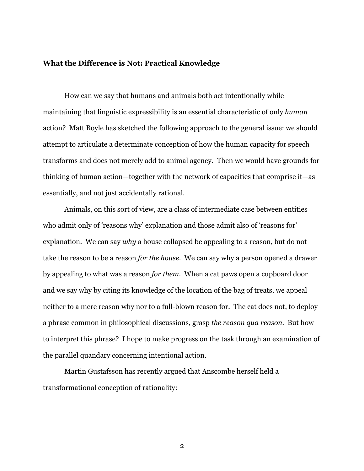# **What the Difference is Not: Practical Knowledge**

How can we say that humans and animals both act intentionally while maintaining that linguistic expressibility is an essential characteristic of only *human* action? Matt Boyle has sketched the following approach to the general issue: we should attempt to articulate a determinate conception of how the human capacity for speech transforms and does not merely add to animal agency. Then we would have grounds for thinking of human action—together with the network of capacities that comprise it—as essentially, and not just accidentally rational.

Animals, on this sort of view, are a class of intermediate case between entities who admit only of 'reasons why' explanation and those admit also of 'reasons for' explanation. We can say *why* a house collapsed be appealing to a reason, but do not take the reason to be a reason *for the house*. We can say why a person opened a drawer by appealing to what was a reason *for them*. When a cat paws open a cupboard door and we say why by citing its knowledge of the location of the bag of treats, we appeal neither to a mere reason why nor to a full-blown reason for. The cat does not, to deploy a phrase common in philosophical discussions, grasp *the reason qua reason*. But how to interpret this phrase? I hope to make progress on the task through an examination of the parallel quandary concerning intentional action.

Martin Gustafsson has recently argued that Anscombe herself held a transformational conception of rationality: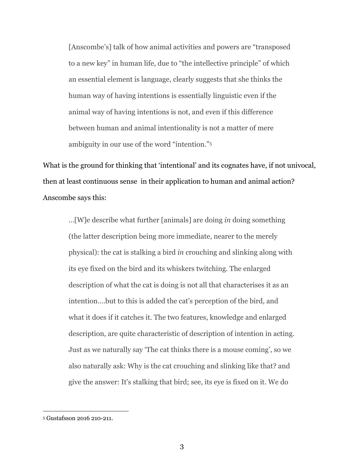[Anscombe's] talk of how animal activities and powers are "transposed to a new key" in human life, due to "the intellective principle" of which an essential element is language, clearly suggests that she thinks the human way of having intentions is essentially linguistic even if the animal way of having intentions is not, and even if this difference between human and animal intentionality is not a matter of mere ambiguity in our use of the word "intention."5

What is the ground for thinking that 'intentional' and its cognates have, if not univocal, then at least continuous sense in their application to human and animal action? Anscombe says this:

…[W]e describe what further [animals] are doing *in* doing something (the latter description being more immediate, nearer to the merely physical): the cat is stalking a bird *in* crouching and slinking along with its eye fixed on the bird and its whiskers twitching. The enlarged description of what the cat is doing is not all that characterises it as an intention….but to this is added the cat's perception of the bird, and what it does if it catches it. The two features, knowledge and enlarged description, are quite characteristic of description of intention in acting. Just as we naturally say 'The cat thinks there is a mouse coming', so we also naturally ask: Why is the cat crouching and slinking like that? and give the answer: It's stalking that bird; see, its eye is fixed on it. We do

<sup>5</sup> Gustafsson 2016 210-211.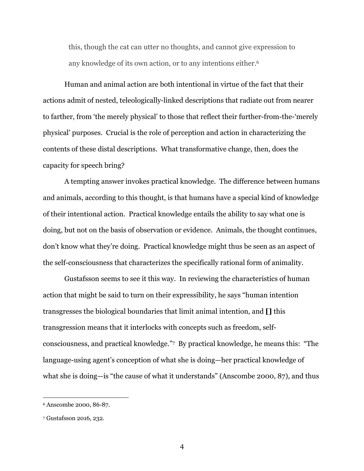this, though the cat can utter no thoughts, and cannot give expression to any knowledge of its own action, or to any intentions either.6

Human and animal action are both intentional in virtue of the fact that their actions admit of nested, teleologically-linked descriptions that radiate out from nearer to farther, from 'the merely physical' to those that reflect their further-from-the-'merely physical' purposes. Crucial is the role of perception and action in characterizing the contents of these distal descriptions. What transformative change, then, does the capacity for speech bring?

A tempting answer invokes practical knowledge. The difference between humans and animals, according to this thought, is that humans have a special kind of knowledge of their intentional action. Practical knowledge entails the ability to say what one is doing, but not on the basis of observation or evidence. Animals, the thought continues, don't know what they're doing. Practical knowledge might thus be seen as an aspect of the self-consciousness that characterizes the specifically rational form of animality.

Gustafsson seems to see it this way. In reviewing the characteristics of human action that might be said to turn on their expressibility, he says "human intention transgresses the biological boundaries that limit animal intention, and **[]** this transgression means that it interlocks with concepts such as freedom, selfconsciousness, and practical knowledge."7 By practical knowledge, he means this: "The language-using agent's conception of what she is doing—her practical knowledge of what she is doing—is "the cause of what it understands" (Anscombe 2000, 87), and thus

<sup>6</sup> Anscombe 2000, 86-87.

<sup>7</sup> Gustafsson 2016, 232.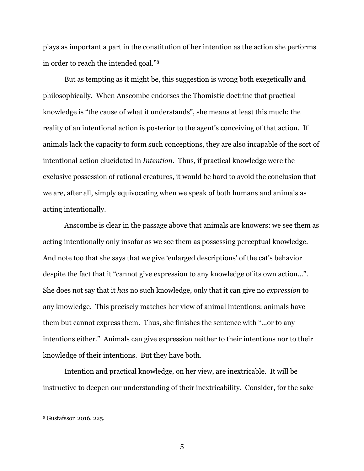plays as important a part in the constitution of her intention as the action she performs in order to reach the intended goal."8

But as tempting as it might be, this suggestion is wrong both exegetically and philosophically. When Anscombe endorses the Thomistic doctrine that practical knowledge is "the cause of what it understands", she means at least this much: the reality of an intentional action is posterior to the agent's conceiving of that action. If animals lack the capacity to form such conceptions, they are also incapable of the sort of intentional action elucidated in *Intention*. Thus, if practical knowledge were the exclusive possession of rational creatures, it would be hard to avoid the conclusion that we are, after all, simply equivocating when we speak of both humans and animals as acting intentionally.

Anscombe is clear in the passage above that animals are knowers: we see them as acting intentionally only insofar as we see them as possessing perceptual knowledge. And note too that she says that we give 'enlarged descriptions' of the cat's behavior despite the fact that it "cannot give expression to any knowledge of its own action…". She does not say that it *has* no such knowledge, only that it can give no *expression* to any knowledge. This precisely matches her view of animal intentions: animals have them but cannot express them. Thus, she finishes the sentence with "…or to any intentions either." Animals can give expression neither to their intentions nor to their knowledge of their intentions. But they have both.

Intention and practical knowledge, on her view, are inextricable. It will be instructive to deepen our understanding of their inextricability. Consider, for the sake

<sup>8</sup> Gustafsson 2016, 225.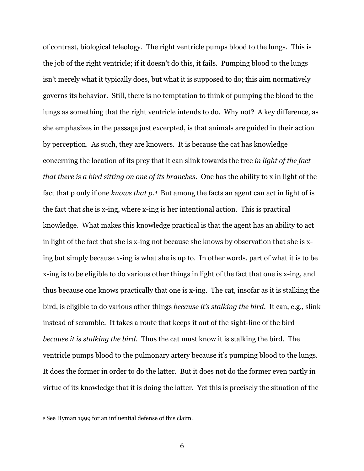of contrast, biological teleology. The right ventricle pumps blood to the lungs. This is the job of the right ventricle; if it doesn't do this, it fails. Pumping blood to the lungs isn't merely what it typically does, but what it is supposed to do; this aim normatively governs its behavior. Still, there is no temptation to think of pumping the blood to the lungs as something that the right ventricle intends to do. Why not? A key difference, as she emphasizes in the passage just excerpted, is that animals are guided in their action by perception. As such, they are knowers. It is because the cat has knowledge concerning the location of its prey that it can slink towards the tree *in light of the fact that there is a bird sitting on one of its branches.* One has the ability to x in light of the fact that p only if one *knows that p*.9 But among the facts an agent can act in light of is the fact that she is x-ing, where x-ing is her intentional action. This is practical knowledge. What makes this knowledge practical is that the agent has an ability to act in light of the fact that she is x-ing not because she knows by observation that she is xing but simply because x-ing is what she is up to. In other words, part of what it is to be x-ing is to be eligible to do various other things in light of the fact that one is x-ing, and thus because one knows practically that one is x-ing. The cat, insofar as it is stalking the bird, is eligible to do various other things *because it's stalking the bird*. It can, e.g., slink instead of scramble. It takes a route that keeps it out of the sight-line of the bird *because it is stalking the bird.* Thus the cat must know it is stalking the bird. The ventricle pumps blood to the pulmonary artery because it's pumping blood to the lungs. It does the former in order to do the latter. But it does not do the former even partly in virtue of its knowledge that it is doing the latter. Yet this is precisely the situation of the

<sup>9</sup> See Hyman 1999 for an influential defense of this claim.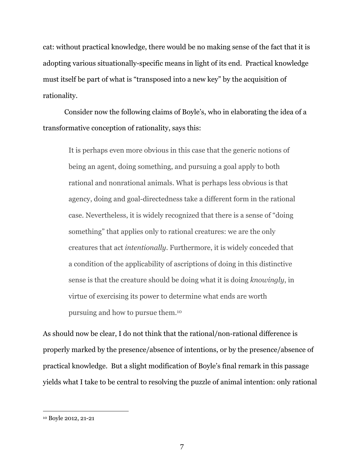cat: without practical knowledge, there would be no making sense of the fact that it is adopting various situationally-specific means in light of its end. Practical knowledge must itself be part of what is "transposed into a new key" by the acquisition of rationality.

Consider now the following claims of Boyle's, who in elaborating the idea of a transformative conception of rationality, says this:

It is perhaps even more obvious in this case that the generic notions of being an agent, doing something, and pursuing a goal apply to both rational and nonrational animals. What is perhaps less obvious is that agency, doing and goal-directedness take a different form in the rational case. Nevertheless, it is widely recognized that there is a sense of "doing something" that applies only to rational creatures: we are the only creatures that act *intentionally*. Furthermore, it is widely conceded that a condition of the applicability of ascriptions of doing in this distinctive sense is that the creature should be doing what it is doing *knowingly*, in virtue of exercising its power to determine what ends are worth pursuing and how to pursue them.10

As should now be clear, I do not think that the rational/non-rational difference is properly marked by the presence/absence of intentions, or by the presence/absence of practical knowledge. But a slight modification of Boyle's final remark in this passage yields what I take to be central to resolving the puzzle of animal intention: only rational

<sup>10</sup> Boyle 2012, 21-21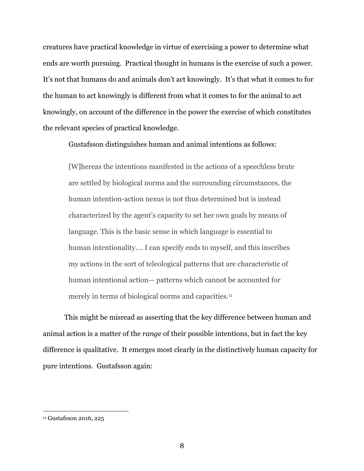creatures have practical knowledge in virtue of exercising a power to determine what ends are worth pursuing. Practical thought in humans is the exercise of such a power. It's not that humans do and animals don't act knowingly. It's that what it comes to for the human to act knowingly is different from what it comes to for the animal to act knowingly, on account of the difference in the power the exercise of which constitutes the relevant species of practical knowledge.

Gustafsson distinguishes human and animal intentions as follows:

[W]hereas the intentions manifested in the actions of a speechless brute are settled by biological norms and the surrounding circumstances, the human intention-action nexus is not thus determined but is instead characterized by the agent's capacity to set her own goals by means of language. This is the basic sense in which language is essential to human intentionality.… I can specify ends to myself, and this inscribes my actions in the sort of teleological patterns that are characteristic of human intentional action— patterns which cannot be accounted for merely in terms of biological norms and capacities.<sup>11</sup>

This might be misread as asserting that the key difference between human and animal action is a matter of the *range* of their possible intentions, but in fact the key difference is qualitative. It emerges most clearly in the distinctively human capacity for pure intentions. Gustafsson again:

<sup>11</sup> Gustafsson 2016, 225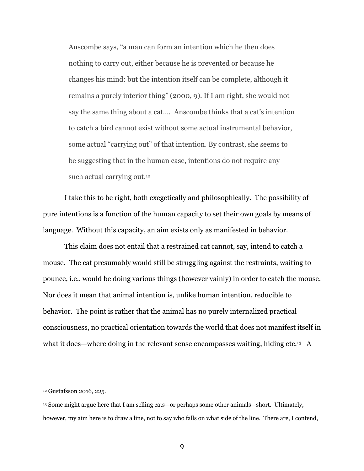Anscombe says, "a man can form an intention which he then does nothing to carry out, either because he is prevented or because he changes his mind: but the intention itself can be complete, although it remains a purely interior thing" (2000, 9). If I am right, she would not say the same thing about a cat…. Anscombe thinks that a cat's intention to catch a bird cannot exist without some actual instrumental behavior, some actual "carrying out" of that intention. By contrast, she seems to be suggesting that in the human case, intentions do not require any such actual carrying out.<sup>12</sup>

I take this to be right, both exegetically and philosophically. The possibility of pure intentions is a function of the human capacity to set their own goals by means of language. Without this capacity, an aim exists only as manifested in behavior.

This claim does not entail that a restrained cat cannot, say, intend to catch a mouse. The cat presumably would still be struggling against the restraints, waiting to pounce, i.e., would be doing various things (however vainly) in order to catch the mouse. Nor does it mean that animal intention is, unlike human intention, reducible to behavior. The point is rather that the animal has no purely internalized practical consciousness, no practical orientation towards the world that does not manifest itself in what it does—where doing in the relevant sense encompasses waiting, hiding etc.<sup>13</sup> A

<sup>12</sup> Gustafsson 2016, 225.

<sup>13</sup> Some might argue here that I am selling cats—or perhaps some other animals—short. Ultimately, however, my aim here is to draw a line, not to say who falls on what side of the line. There are, I contend,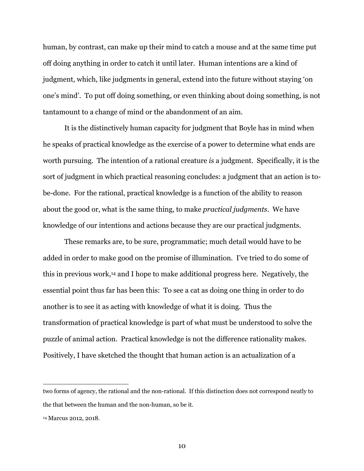human, by contrast, can make up their mind to catch a mouse and at the same time put off doing anything in order to catch it until later. Human intentions are a kind of judgment, which, like judgments in general, extend into the future without staying 'on one's mind'. To put off doing something, or even thinking about doing something, is not tantamount to a change of mind or the abandonment of an aim.

It is the distinctively human capacity for judgment that Boyle has in mind when he speaks of practical knowledge as the exercise of a power to determine what ends are worth pursuing. The intention of a rational creature *is* a judgment. Specifically, it is the sort of judgment in which practical reasoning concludes: a judgment that an action is tobe-done. For the rational, practical knowledge is a function of the ability to reason about the good or, what is the same thing, to make *practical judgments*. We have knowledge of our intentions and actions because they are our practical judgments.

These remarks are, to be sure, programmatic; much detail would have to be added in order to make good on the promise of illumination. I've tried to do some of this in previous work,14 and I hope to make additional progress here. Negatively, the essential point thus far has been this: To see a cat as doing one thing in order to do another is to see it as acting with knowledge of what it is doing. Thus the transformation of practical knowledge is part of what must be understood to solve the puzzle of animal action. Practical knowledge is not the difference rationality makes. Positively, I have sketched the thought that human action is an actualization of a

two forms of agency, the rational and the non-rational. If this distinction does not correspond neatly to the that between the human and the non-human, so be it.

<sup>14</sup> Marcus 2012, 2018.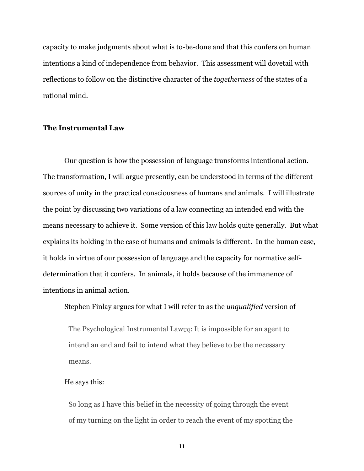capacity to make judgments about what is to-be-done and that this confers on human intentions a kind of independence from behavior. This assessment will dovetail with reflections to follow on the distinctive character of the *togetherness* of the states of a rational mind.

# **The Instrumental Law**

Our question is how the possession of language transforms intentional action. The transformation, I will argue presently, can be understood in terms of the different sources of unity in the practical consciousness of humans and animals. I will illustrate the point by discussing two variations of a law connecting an intended end with the means necessary to achieve it. Some version of this law holds quite generally. But what explains its holding in the case of humans and animals is different. In the human case, it holds in virtue of our possession of language and the capacity for normative selfdetermination that it confers. In animals, it holds because of the immanence of intentions in animal action.

Stephen Finlay argues for what I will refer to as the *unqualified* version of

The Psychological Instrumental Law<sub>UQ</sub>: It is impossible for an agent to intend an end and fail to intend what they believe to be the necessary means.

#### He says this:

So long as I have this belief in the necessity of going through the event of my turning on the light in order to reach the event of my spotting the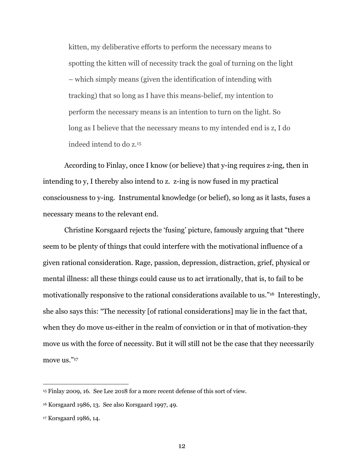kitten, my deliberative efforts to perform the necessary means to spotting the kitten will of necessity track the goal of turning on the light – which simply means (given the identification of intending with tracking) that so long as I have this means-belief, my intention to perform the necessary means is an intention to turn on the light. So long as I believe that the necessary means to my intended end is z, I do indeed intend to do z.15

According to Finlay, once I know (or believe) that y-ing requires z-ing, then in intending to y, I thereby also intend to z. z-ing is now fused in my practical consciousness to y-ing. Instrumental knowledge (or belief), so long as it lasts, fuses a necessary means to the relevant end.

Christine Korsgaard rejects the 'fusing' picture, famously arguing that "there seem to be plenty of things that could interfere with the motivational influence of a given rational consideration. Rage, passion, depression, distraction, grief, physical or mental illness: all these things could cause us to act irrationally, that is, to fail to be motivationally responsive to the rational considerations available to us."16 Interestingly, she also says this: "The necessity [of rational considerations] may lie in the fact that, when they do move us-either in the realm of conviction or in that of motivation-they move us with the force of necessity. But it will still not be the case that they necessarily move us."<sup>17</sup>

<sup>15</sup> Finlay 2009, 16. See Lee 2018 for a more recent defense of this sort of view.

<sup>16</sup> Korsgaard 1986, 13. See also Korsgaard 1997, 49.

<sup>17</sup> Korsgaard 1986, 14.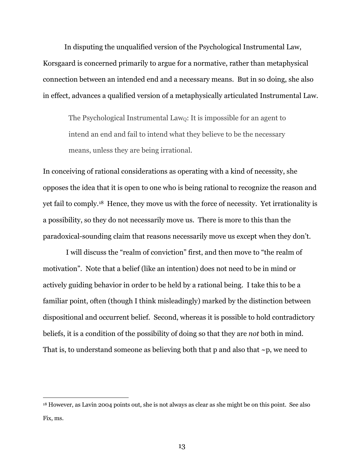In disputing the unqualified version of the Psychological Instrumental Law, Korsgaard is concerned primarily to argue for a normative, rather than metaphysical connection between an intended end and a necessary means. But in so doing, she also in effect, advances a qualified version of a metaphysically articulated Instrumental Law.

The Psychological Instrumental Law<sub>0</sub>: It is impossible for an agent to intend an end and fail to intend what they believe to be the necessary means, unless they are being irrational.

In conceiving of rational considerations as operating with a kind of necessity, she opposes the idea that it is open to one who is being rational to recognize the reason and yet fail to comply.18 Hence, they move us with the force of necessity. Yet irrationality is a possibility, so they do not necessarily move us. There is more to this than the paradoxical-sounding claim that reasons necessarily move us except when they don't.

I will discuss the "realm of conviction" first, and then move to "the realm of motivation". Note that a belief (like an intention) does not need to be in mind or actively guiding behavior in order to be held by a rational being. I take this to be a familiar point, often (though I think misleadingly) marked by the distinction between dispositional and occurrent belief. Second, whereas it is possible to hold contradictory beliefs, it is a condition of the possibility of doing so that they are *not* both in mind. That is, to understand someone as believing both that p and also that  $\neg p$ , we need to

<sup>18</sup> However, as Lavin 2004 points out, she is not always as clear as she might be on this point. See also Fix, ms.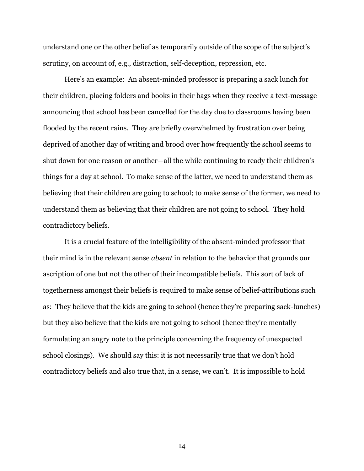understand one or the other belief as temporarily outside of the scope of the subject's scrutiny, on account of, e.g., distraction, self-deception, repression, etc.

Here's an example: An absent-minded professor is preparing a sack lunch for their children, placing folders and books in their bags when they receive a text-message announcing that school has been cancelled for the day due to classrooms having been flooded by the recent rains. They are briefly overwhelmed by frustration over being deprived of another day of writing and brood over how frequently the school seems to shut down for one reason or another—all the while continuing to ready their children's things for a day at school. To make sense of the latter, we need to understand them as believing that their children are going to school; to make sense of the former, we need to understand them as believing that their children are not going to school. They hold contradictory beliefs.

It is a crucial feature of the intelligibility of the absent-minded professor that their mind is in the relevant sense *absent* in relation to the behavior that grounds our ascription of one but not the other of their incompatible beliefs. This sort of lack of togetherness amongst their beliefs is required to make sense of belief-attributions such as: They believe that the kids are going to school (hence they're preparing sack-lunches) but they also believe that the kids are not going to school (hence they're mentally formulating an angry note to the principle concerning the frequency of unexpected school closings). We should say this: it is not necessarily true that we don't hold contradictory beliefs and also true that, in a sense, we can't. It is impossible to hold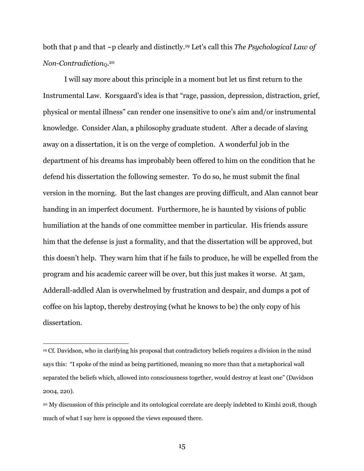both that p and that ~p clearly and distinctly.19 Let's call this *The Psychological Law of Non-Contradiction*<sub>0</sub>.<sup>20</sup>

I will say more about this principle in a moment but let us first return to the Instrumental Law. Korsgaard's idea is that "rage, passion, depression, distraction, grief, physical or mental illness" can render one insensitive to one's aim and/or instrumental knowledge. Consider Alan, a philosophy graduate student. After a decade of slaving away on a dissertation, it is on the verge of completion. A wonderful job in the department of his dreams has improbably been offered to him on the condition that he defend his dissertation the following semester. To do so, he must submit the final version in the morning. But the last changes are proving difficult, and Alan cannot bear handing in an imperfect document. Furthermore, he is haunted by visions of public humiliation at the hands of one committee member in particular. His friends assure him that the defense is just a formality, and that the dissertation will be approved, but this doesn't help. They warn him that if he fails to produce, he will be expelled from the program and his academic career will be over, but this just makes it worse. At 3am, Adderall-addled Alan is overwhelmed by frustration and despair, and dumps a pot of coffee on his laptop, thereby destroying (what he knows to be) the only copy of his dissertation.

<sup>19</sup> Cf. Davidson, who in clarifying his proposal that contradictory beliefs requires a division in the mind says this: "I spoke of the mind as being partitioned, meaning no more than that a metaphorical wall separated the beliefs which, allowed into consciousness together, would destroy at least one" (Davidson 2004, 220).

<sup>&</sup>lt;sup>20</sup> My discussion of this principle and its ontological correlate are deeply indebted to Kimhi 2018, though much of what I say here is opposed the views espoused there.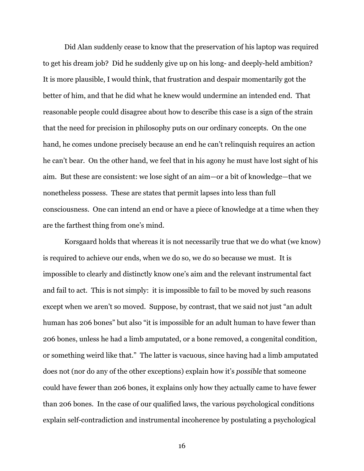Did Alan suddenly cease to know that the preservation of his laptop was required to get his dream job? Did he suddenly give up on his long- and deeply-held ambition? It is more plausible, I would think, that frustration and despair momentarily got the better of him, and that he did what he knew would undermine an intended end. That reasonable people could disagree about how to describe this case is a sign of the strain that the need for precision in philosophy puts on our ordinary concepts. On the one hand, he comes undone precisely because an end he can't relinquish requires an action he can't bear. On the other hand, we feel that in his agony he must have lost sight of his aim. But these are consistent: we lose sight of an aim—or a bit of knowledge—that we nonetheless possess. These are states that permit lapses into less than full consciousness. One can intend an end or have a piece of knowledge at a time when they are the farthest thing from one's mind.

Korsgaard holds that whereas it is not necessarily true that we do what (we know) is required to achieve our ends, when we do so, we do so because we must. It is impossible to clearly and distinctly know one's aim and the relevant instrumental fact and fail to act. This is not simply: it is impossible to fail to be moved by such reasons except when we aren't so moved. Suppose, by contrast, that we said not just "an adult human has 206 bones" but also "it is impossible for an adult human to have fewer than 206 bones, unless he had a limb amputated, or a bone removed, a congenital condition, or something weird like that." The latter is vacuous, since having had a limb amputated does not (nor do any of the other exceptions) explain how it's *possible* that someone could have fewer than 206 bones, it explains only how they actually came to have fewer than 206 bones. In the case of our qualified laws, the various psychological conditions explain self-contradiction and instrumental incoherence by postulating a psychological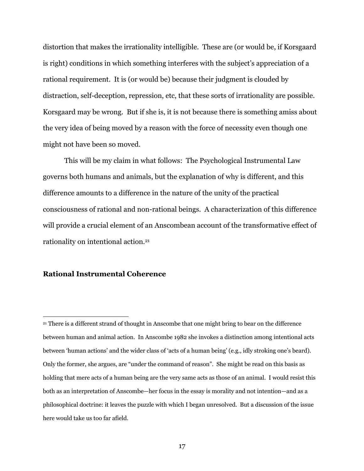distortion that makes the irrationality intelligible. These are (or would be, if Korsgaard is right) conditions in which something interferes with the subject's appreciation of a rational requirement. It is (or would be) because their judgment is clouded by distraction, self-deception, repression, etc, that these sorts of irrationality are possible. Korsgaard may be wrong. But if she is, it is not because there is something amiss about the very idea of being moved by a reason with the force of necessity even though one might not have been so moved.

This will be my claim in what follows: The Psychological Instrumental Law governs both humans and animals, but the explanation of why is different, and this difference amounts to a difference in the nature of the unity of the practical consciousness of rational and non-rational beings. A characterization of this difference will provide a crucial element of an Anscombean account of the transformative effect of rationality on intentional action.21

# **Rational Instrumental Coherence**

<sup>21</sup> There is a different strand of thought in Anscombe that one might bring to bear on the difference between human and animal action. In Anscombe 1982 she invokes a distinction among intentional acts between 'human actions' and the wider class of 'acts of a human being' (e.g., idly stroking one's beard). Only the former, she argues, are "under the command of reason". She might be read on this basis as holding that mere acts of a human being are the very same acts as those of an animal. I would resist this both as an interpretation of Anscombe—her focus in the essay is morality and not intention—and as a philosophical doctrine: it leaves the puzzle with which I began unresolved. But a discussion of the issue here would take us too far afield.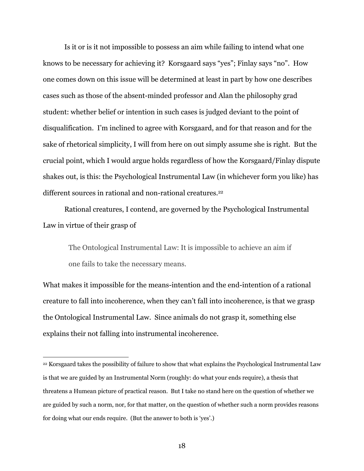Is it or is it not impossible to possess an aim while failing to intend what one knows to be necessary for achieving it? Korsgaard says "yes"; Finlay says "no". How one comes down on this issue will be determined at least in part by how one describes cases such as those of the absent-minded professor and Alan the philosophy grad student: whether belief or intention in such cases is judged deviant to the point of disqualification. I'm inclined to agree with Korsgaard, and for that reason and for the sake of rhetorical simplicity, I will from here on out simply assume she is right. But the crucial point, which I would argue holds regardless of how the Korsgaard/Finlay dispute shakes out, is this: the Psychological Instrumental Law (in whichever form you like) has different sources in rational and non-rational creatures.<sup>22</sup>

Rational creatures, I contend, are governed by the Psychological Instrumental Law in virtue of their grasp of

The Ontological Instrumental Law: It is impossible to achieve an aim if one fails to take the necessary means.

What makes it impossible for the means-intention and the end-intention of a rational creature to fall into incoherence, when they can't fall into incoherence, is that we grasp the Ontological Instrumental Law. Since animals do not grasp it, something else explains their not falling into instrumental incoherence.

<sup>22</sup> Korsgaard takes the possibility of failure to show that what explains the Psychological Instrumental Law is that we are guided by an Instrumental Norm (roughly: do what your ends require), a thesis that threatens a Humean picture of practical reason. But I take no stand here on the question of whether we are guided by such a norm, nor, for that matter, on the question of whether such a norm provides reasons for doing what our ends require. (But the answer to both is 'yes'.)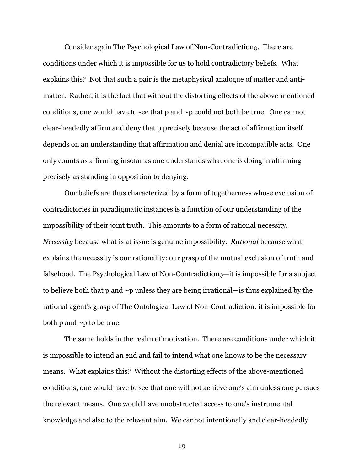Consider again The Psychological Law of Non-Contradiction $_0$ . There are conditions under which it is impossible for us to hold contradictory beliefs. What explains this? Not that such a pair is the metaphysical analogue of matter and antimatter. Rather, it is the fact that without the distorting effects of the above-mentioned conditions, one would have to see that p and ~p could not both be true. One cannot clear-headedly affirm and deny that p precisely because the act of affirmation itself depends on an understanding that affirmation and denial are incompatible acts. One only counts as affirming insofar as one understands what one is doing in affirming precisely as standing in opposition to denying.

Our beliefs are thus characterized by a form of togetherness whose exclusion of contradictories in paradigmatic instances is a function of our understanding of the impossibility of their joint truth. This amounts to a form of rational necessity. *Necessity* because what is at issue is genuine impossibility. *Rational* because what explains the necessity is our rationality: our grasp of the mutual exclusion of truth and falsehood. The Psychological Law of Non-Contradiction $_{0}$ —it is impossible for a subject to believe both that p and ~p unless they are being irrational—is thus explained by the rational agent's grasp of The Ontological Law of Non-Contradiction: it is impossible for both  $p$  and  $\neg p$  to be true.

The same holds in the realm of motivation. There are conditions under which it is impossible to intend an end and fail to intend what one knows to be the necessary means. What explains this? Without the distorting effects of the above-mentioned conditions, one would have to see that one will not achieve one's aim unless one pursues the relevant means. One would have unobstructed access to one's instrumental knowledge and also to the relevant aim. We cannot intentionally and clear-headedly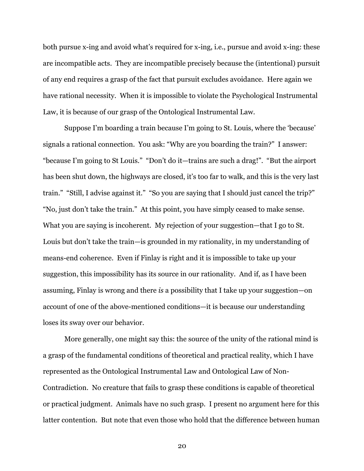both pursue x-ing and avoid what's required for x-ing, i.e., pursue and avoid x-ing: these are incompatible acts. They are incompatible precisely because the (intentional) pursuit of any end requires a grasp of the fact that pursuit excludes avoidance. Here again we have rational necessity. When it is impossible to violate the Psychological Instrumental Law, it is because of our grasp of the Ontological Instrumental Law.

Suppose I'm boarding a train because I'm going to St. Louis, where the 'because' signals a rational connection. You ask: "Why are you boarding the train?" I answer: "because I'm going to St Louis." "Don't do it—trains are such a drag!". "But the airport has been shut down, the highways are closed, it's too far to walk, and this is the very last train." "Still, I advise against it." "So you are saying that I should just cancel the trip?" "No, just don't take the train." At this point, you have simply ceased to make sense. What you are saying is incoherent. My rejection of your suggestion—that I go to St. Louis but don't take the train—is grounded in my rationality, in my understanding of means-end coherence. Even if Finlay is right and it is impossible to take up your suggestion, this impossibility has its source in our rationality. And if, as I have been assuming, Finlay is wrong and there *is* a possibility that I take up your suggestion—on account of one of the above-mentioned conditions—it is because our understanding loses its sway over our behavior.

More generally, one might say this: the source of the unity of the rational mind is a grasp of the fundamental conditions of theoretical and practical reality, which I have represented as the Ontological Instrumental Law and Ontological Law of Non-Contradiction. No creature that fails to grasp these conditions is capable of theoretical or practical judgment. Animals have no such grasp. I present no argument here for this latter contention. But note that even those who hold that the difference between human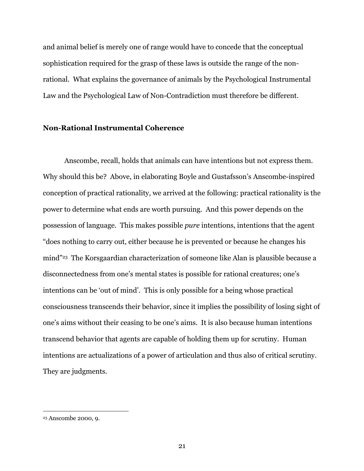and animal belief is merely one of range would have to concede that the conceptual sophistication required for the grasp of these laws is outside the range of the nonrational. What explains the governance of animals by the Psychological Instrumental Law and the Psychological Law of Non-Contradiction must therefore be different.

### **Non-Rational Instrumental Coherence**

Anscombe, recall, holds that animals can have intentions but not express them. Why should this be? Above, in elaborating Boyle and Gustafsson's Anscombe-inspired conception of practical rationality, we arrived at the following: practical rationality is the power to determine what ends are worth pursuing. And this power depends on the possession of language. This makes possible *pure* intentions, intentions that the agent "does nothing to carry out, either because he is prevented or because he changes his mind"23 The Korsgaardian characterization of someone like Alan is plausible because a disconnectedness from one's mental states is possible for rational creatures; one's intentions can be 'out of mind'. This is only possible for a being whose practical consciousness transcends their behavior, since it implies the possibility of losing sight of one's aims without their ceasing to be one's aims. It is also because human intentions transcend behavior that agents are capable of holding them up for scrutiny. Human intentions are actualizations of a power of articulation and thus also of critical scrutiny. They are judgments.

<sup>23</sup> Anscombe 2000, 9.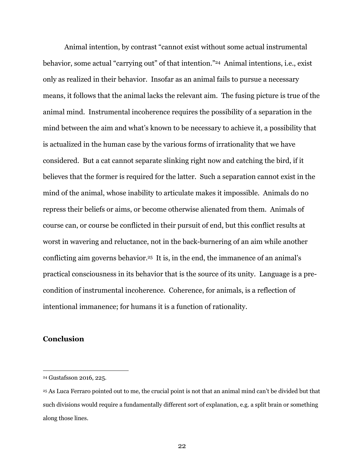Animal intention, by contrast "cannot exist without some actual instrumental behavior, some actual "carrying out" of that intention."24 Animal intentions, i.e., exist only as realized in their behavior. Insofar as an animal fails to pursue a necessary means, it follows that the animal lacks the relevant aim. The fusing picture is true of the animal mind. Instrumental incoherence requires the possibility of a separation in the mind between the aim and what's known to be necessary to achieve it, a possibility that is actualized in the human case by the various forms of irrationality that we have considered. But a cat cannot separate slinking right now and catching the bird, if it believes that the former is required for the latter. Such a separation cannot exist in the mind of the animal, whose inability to articulate makes it impossible. Animals do no repress their beliefs or aims, or become otherwise alienated from them. Animals of course can, or course be conflicted in their pursuit of end, but this conflict results at worst in wavering and reluctance, not in the back-burnering of an aim while another conflicting aim governs behavior.25 It is, in the end, the immanence of an animal's practical consciousness in its behavior that is the source of its unity. Language is a precondition of instrumental incoherence. Coherence, for animals, is a reflection of intentional immanence; for humans it is a function of rationality.

# **Conclusion**

<sup>24</sup> Gustafsson 2016, 225.

<sup>25</sup> As Luca Ferraro pointed out to me, the crucial point is not that an animal mind can't be divided but that such divisions would require a fundamentally different sort of explanation, e.g. a split brain or something along those lines.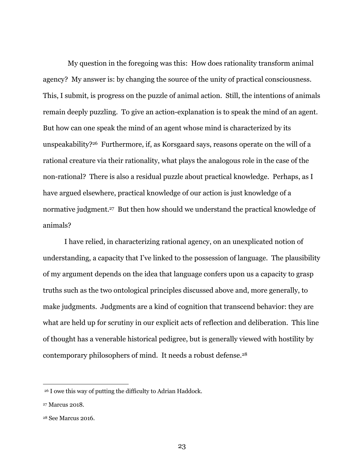My question in the foregoing was this: How does rationality transform animal agency? My answer is: by changing the source of the unity of practical consciousness. This, I submit, is progress on the puzzle of animal action. Still, the intentions of animals remain deeply puzzling. To give an action-explanation is to speak the mind of an agent. But how can one speak the mind of an agent whose mind is characterized by its unspeakability?26 Furthermore, if, as Korsgaard says, reasons operate on the will of a rational creature via their rationality, what plays the analogous role in the case of the non-rational? There is also a residual puzzle about practical knowledge. Perhaps, as I have argued elsewhere, practical knowledge of our action is just knowledge of a normative judgment.27 But then how should we understand the practical knowledge of animals?

I have relied, in characterizing rational agency, on an unexplicated notion of understanding, a capacity that I've linked to the possession of language. The plausibility of my argument depends on the idea that language confers upon us a capacity to grasp truths such as the two ontological principles discussed above and, more generally, to make judgments. Judgments are a kind of cognition that transcend behavior: they are what are held up for scrutiny in our explicit acts of reflection and deliberation. This line of thought has a venerable historical pedigree, but is generally viewed with hostility by contemporary philosophers of mind. It needs a robust defense.28

<sup>26</sup> I owe this way of putting the difficulty to Adrian Haddock.

<sup>27</sup> Marcus 2018.

<sup>28</sup> See Marcus 2016.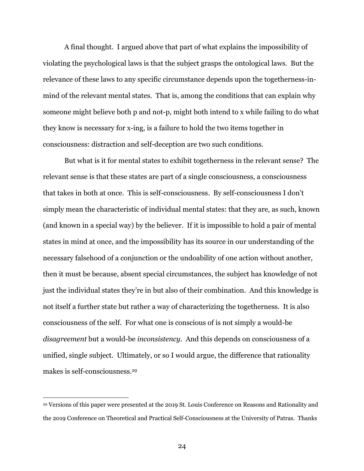A final thought. I argued above that part of what explains the impossibility of violating the psychological laws is that the subject grasps the ontological laws. But the relevance of these laws to any specific circumstance depends upon the togetherness-inmind of the relevant mental states. That is, among the conditions that can explain why someone might believe both p and not-p, might both intend to x while failing to do what they know is necessary for x-ing, is a failure to hold the two items together in consciousness: distraction and self-deception are two such conditions.

But what is it for mental states to exhibit togetherness in the relevant sense? The relevant sense is that these states are part of a single consciousness, a consciousness that takes in both at once. This is self-consciousness. By self-consciousness I don't simply mean the characteristic of individual mental states: that they are, as such, known (and known in a special way) by the believer. If it is impossible to hold a pair of mental states in mind at once, and the impossibility has its source in our understanding of the necessary falsehood of a conjunction or the undoability of one action without another, then it must be because, absent special circumstances, the subject has knowledge of not just the individual states they're in but also of their combination. And this knowledge is not itself a further state but rather a way of characterizing the togetherness. It is also consciousness of the self. For what one is conscious of is not simply a would-be *disagreement* but a would-be *inconsistency*. And this depends on consciousness of a unified, single subject. Ultimately, or so I would argue, the difference that rationality makes is self-consciousness.29

<sup>29</sup> Versions of this paper were presented at the 2019 St. Louis Conference on Reasons and Rationality and the 2019 Conference on Theoretical and Practical Self-Consciousness at the University of Patras. Thanks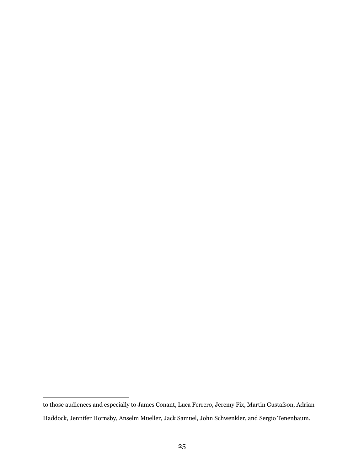to those audiences and especially to James Conant, Luca Ferrero, Jeremy Fix, Martin Gustafson, Adrian Haddock, Jennifer Hornsby, Anselm Mueller, Jack Samuel, John Schwenkler, and Sergio Tenenbaum.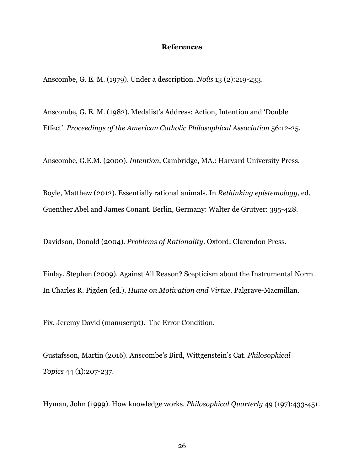# **References**

Anscombe, G. E. M. (1979). Under a description. *Noûs* 13 (2):219-233.

Anscombe, G. E. M. (1982). Medalist's Address: Action, Intention and 'Double Effect'. *Proceedings of the American Catholic Philosophical Association* 56:12-25.

Anscombe, G.E.M. (2000). *Intention*, Cambridge, MA.: Harvard University Press.

Boyle, Matthew (2012). Essentially rational animals. In *Rethinking epistemology*, ed. Guenther Abel and James Conant. Berlin, Germany: Walter de Grutyer: 395-428.

Davidson, Donald (2004). *Problems of Rationality*. Oxford: Clarendon Press.

Finlay, Stephen (2009). Against All Reason? Scepticism about the Instrumental Norm. In Charles R. Pigden (ed.), *Hume on Motivation and Virtue*. Palgrave-Macmillan.

Fix, Jeremy David (manuscript). The Error Condition.

Gustafsson, Martin (2016). Anscombe's Bird, Wittgenstein's Cat. *Philosophical Topics* 44 (1):207-237.

Hyman, John (1999). How knowledge works. *Philosophical Quarterly* 49 (197):433-451.